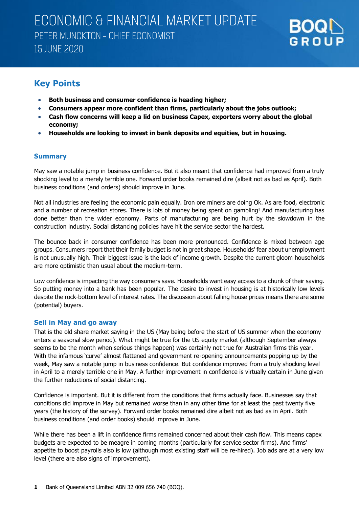

### **Key Points**

- **Both business and consumer confidence is heading higher;**
- **Consumers appear more confident than firms, particularly about the jobs outlook;**
- **Cash flow concerns will keep a lid on business Capex, exporters worry about the global economy;**
- **Households are looking to invest in bank deposits and equities, but in housing.**

#### **Summary**

May saw a notable jump in business confidence. But it also meant that confidence had improved from a truly shocking level to a merely terrible one. Forward order books remained dire (albeit not as bad as April). Both business conditions (and orders) should improve in June.

Not all industries are feeling the economic pain equally. Iron ore miners are doing Ok. As are food, electronic and a number of recreation stores. There is lots of money being spent on gambling! And manufacturing has done better than the wider economy. Parts of manufacturing are being hurt by the slowdown in the construction industry. Social distancing policies have hit the service sector the hardest.

The bounce back in consumer confidence has been more pronounced. Confidence is mixed between age groups. Consumers report that their family budget is not in great shape. Households' fear about unemployment is not unusually high. Their biggest issue is the lack of income growth. Despite the current gloom households are more optimistic than usual about the medium-term.

Low confidence is impacting the way consumers save. Households want easy access to a chunk of their saving. So putting money into a bank has been popular. The desire to invest in housing is at historically low levels despite the rock-bottom level of interest rates. The discussion about falling house prices means there are some (potential) buyers.

#### **Sell in May and go away**

That is the old share market saying in the US (May being before the start of US summer when the economy enters a seasonal slow period). What might be true for the US equity market (although September always seems to be the month when serious things happen) was certainly not true for Australian firms this year. With the infamous 'curve' almost flattened and government re-opening announcements popping up by the week, May saw a notable jump in business confidence. But confidence improved from a truly shocking level in April to a merely terrible one in May. A further improvement in confidence is virtually certain in June given the further reductions of social distancing.

Confidence is important. But it is different from the conditions that firms actually face. Businesses say that conditions did improve in May but remained worse than in any other time for at least the past twenty five years (the history of the survey). Forward order books remained dire albeit not as bad as in April. Both business conditions (and order books) should improve in June.

While there has been a lift in confidence firms remained concerned about their cash flow. This means capex budgets are expected to be meagre in coming months (particularly for service sector firms). And firms' appetite to boost payrolls also is low (although most existing staff will be re-hired). Job ads are at a very low level (there are also signs of improvement).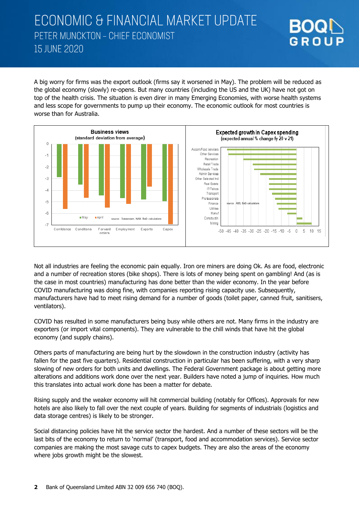A big worry for firms was the export outlook (firms say it worsened in May). The problem will be reduced as the global economy (slowly) re-opens. But many countries (including the US and the UK) have not got on top of the health crisis. The situation is even direr in many Emerging Economies, with worse health systems and less scope for governments to pump up their economy. The economic outlook for most countries is worse than for Australia.

GROUP



Not all industries are feeling the economic pain equally. Iron ore miners are doing Ok. As are food, electronic and a number of recreation stores (bike shops). There is lots of money being spent on gambling! And (as is the case in most countries) manufacturing has done better than the wider economy. In the year before COVID manufacturing was doing fine, with companies reporting rising capacity use. Subsequently, manufacturers have had to meet rising demand for a number of goods (toilet paper, canned fruit, sanitisers, ventilators).

COVID has resulted in some manufacturers being busy while others are not. Many firms in the industry are exporters (or import vital components). They are vulnerable to the chill winds that have hit the global economy (and supply chains).

Others parts of manufacturing are being hurt by the slowdown in the construction industry (activity has fallen for the past five quarters). Residential construction in particular has been suffering, with a very sharp slowing of new orders for both units and dwellings. The Federal Government package is about getting more alterations and additions work done over the next year. Builders have noted a jump of inquiries. How much this translates into actual work done has been a matter for debate.

Rising supply and the weaker economy will hit commercial building (notably for Offices). Approvals for new hotels are also likely to fall over the next couple of years. Building for segments of industrials (logistics and data storage centres) is likely to be stronger.

Social distancing policies have hit the service sector the hardest. And a number of these sectors will be the last bits of the economy to return to 'normal' (transport, food and accommodation services). Service sector companies are making the most savage cuts to capex budgets. They are also the areas of the economy where jobs growth might be the slowest.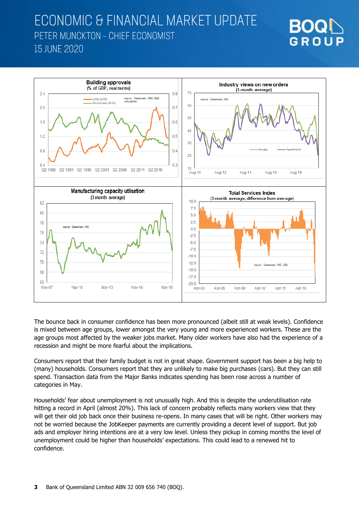



The bounce back in consumer confidence has been more pronounced (albeit still at weak levels). Confidence is mixed between age groups, lower amongst the very young and more experienced workers. These are the age groups most affected by the weaker jobs market. Many older workers have also had the experience of a recession and might be more fearful about the implications.

Consumers report that their family budget is not in great shape. Government support has been a big help to (many) households. Consumers report that they are unlikely to make big purchases (cars). But they can still spend. Transaction data from the Major Banks indicates spending has been rose across a number of categories in May.

Households' fear about unemployment is not unusually high. And this is despite the underutilisation rate hitting a record in April (almost 20%). This lack of concern probably reflects many workers view that they will get their old job back once their business re-opens. In many cases that will be right. Other workers may not be worried because the JobKeeper payments are currently providing a decent level of support. But job ads and employer hiring intentions are at a very low level. Unless they pickup in coming months the level of unemployment could be higher than households' expectations. This could lead to a renewed hit to confidence.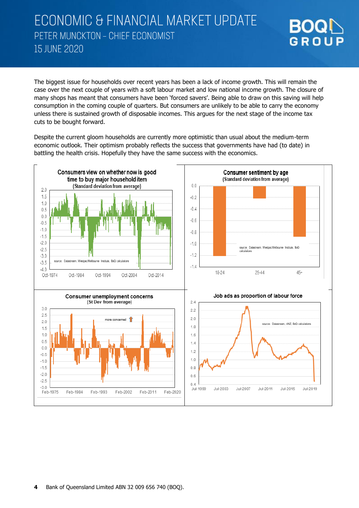The biggest issue for households over recent years has been a lack of income growth. This will remain the case over the next couple of years with a soft labour market and low national income growth. The closure of many shops has meant that consumers have been 'forced savers'. Being able to draw on this saving will help consumption in the coming couple of quarters. But consumers are unlikely to be able to carry the economy unless there is sustained growth of disposable incomes. This argues for the next stage of the income tax cuts to be bought forward.

GROUP

Despite the current gloom households are currently more optimistic than usual about the medium-term economic outlook. Their optimism probably reflects the success that governments have had (to date) in battling the health crisis. Hopefully they have the same success with the economics.

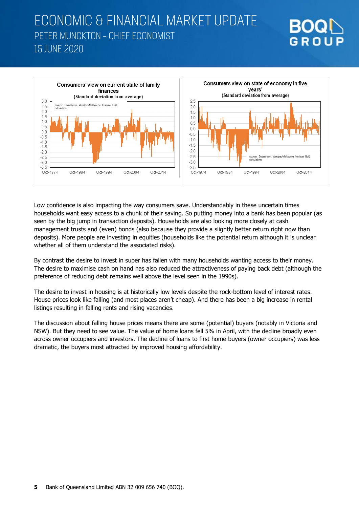

GROUP

Low confidence is also impacting the way consumers save. Understandably in these uncertain times households want easy access to a chunk of their saving. So putting money into a bank has been popular (as seen by the big jump in transaction deposits). Households are also looking more closely at cash management trusts and (even) bonds (also because they provide a slightly better return right now than deposits). More people are investing in equities (households like the potential return although it is unclear whether all of them understand the associated risks).

By contrast the desire to invest in super has fallen with many households wanting access to their money. The desire to maximise cash on hand has also reduced the attractiveness of paying back debt (although the preference of reducing debt remains well above the level seen in the 1990s).

The desire to invest in housing is at historically low levels despite the rock-bottom level of interest rates. House prices look like falling (and most places aren't cheap). And there has been a big increase in rental listings resulting in falling rents and rising vacancies.

The discussion about falling house prices means there are some (potential) buyers (notably in Victoria and NSW). But they need to see value. The value of home loans fell 5% in April, with the decline broadly even across owner occupiers and investors. The decline of loans to first home buyers (owner occupiers) was less dramatic, the buyers most attracted by improved housing affordability.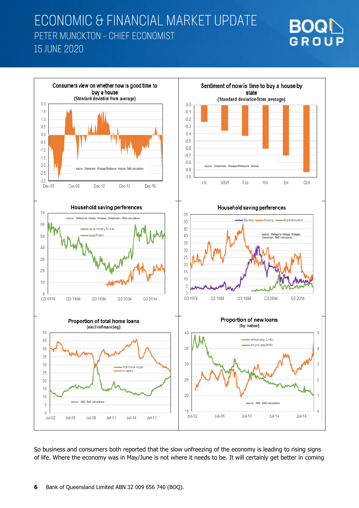



So business and consumers both reported that the slow unfreezing of the economy is leading to rising signs of life. Where the economy was in May/June is not where it needs to be. It will certainly get better in coming